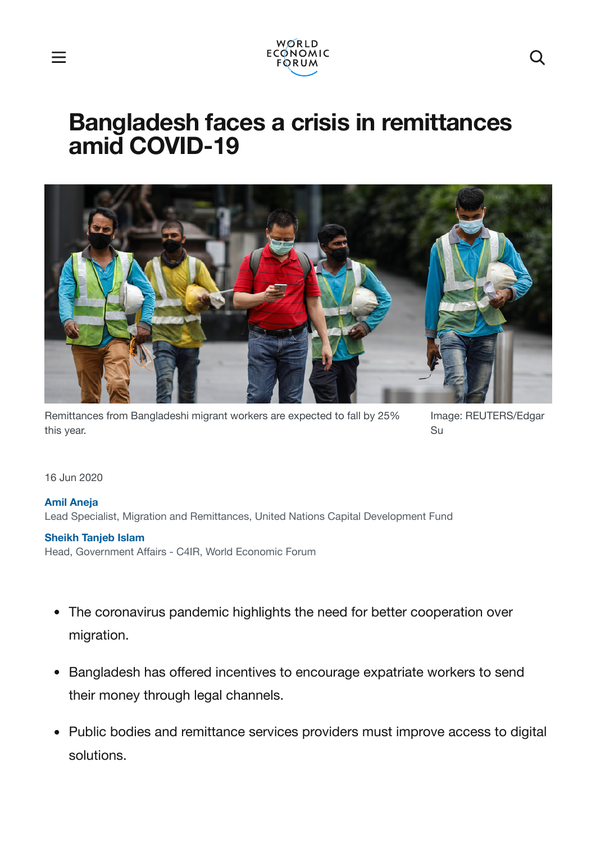

# **Bangladesh faces a crisis in remittances amid COVID-19**



Remittances from Bangladeshi migrant workers are expected to fall by 25% this year.

Image: REUTERS/Edgar Su

16 Jun 2020

#### **Amil [Aneja](https://www.weforum.org/agenda/authors/amil-aneja)**

Lead Specialist, Migration and Remittances, United Nations Capital Development Fund

#### **[Sheikh](https://www.weforum.org/agenda/authors/sheikh-tanjeb-islam) Tanjeb Islam**

Head, Government Affairs - C4IR, World Economic Forum

- The coronavirus pandemic highlights the need for better cooperation over migration.
- Bangladesh has offered incentives to encourage expatriate workers to send their money through legal channels.
- Public bodies and remittance services providers must improve access to digital solutions.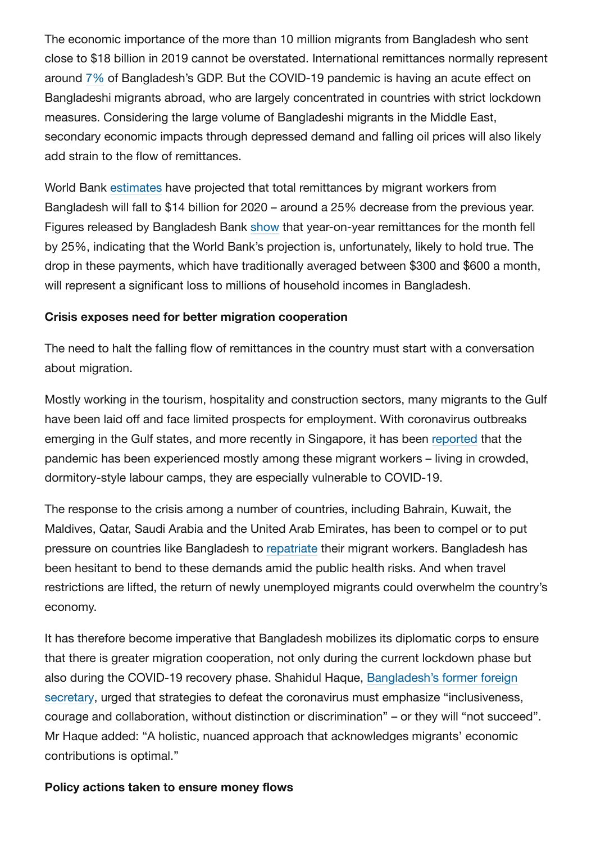The economic importance of the more than 10 million migrants from Bangladesh who sent close to \$18 billion in 2019 cannot be overstated. International remittances normally represent around [7%](https://www.adb.org/sites/default/files/project-document/185098/48190-001-tacr-01.pdf) of Bangladesh's GDP. But the COVID-19 pandemic is having an acute effect on Bangladeshi migrants abroad, who are largely concentrated in countries with strict lockdown measures. Considering the large volume of Bangladeshi migrants in the Middle East, secondary economic impacts through depressed demand and falling oil prices will also likely add strain to the flow of remittances.

World Bank [estimates](https://openknowledge.worldbank.org/bitstream/handle/10986/33634/COVID-19-Crisis-Through-a-Migration-Lens.pdf?) have projected that total remittances by migrant workers from Bangladesh will fall to \$14 billion for 2020 – around a 25% decrease from the previous year. Figures released by Bangladesh Bank [show](https://thefinancialexpress.com.bd/economy/bangladesh/remittance-drops-25pc-in-april-1588563129) that year-on-year remittances for the month fell by 25%, indicating that the World Bank's projection is, unfortunately, likely to hold true. The drop in these payments, which have traditionally averaged between \$300 and \$600 a month, will represent a significant loss to millions of household incomes in Bangladesh.

## **Crisis exposes need for better migration cooperation**

The need to halt the falling flow of remittances in the country must start with a conversation about migration.

Mostly working in the tourism, hospitality and construction sectors, many migrants to the Gulf have been laid off and face limited prospects for employment. With coronavirus outbreaks emerging in the Gulf states, and more recently in Singapore, it has been [reported](https://www.economist.com/middle-east-and-africa/2020/04/23/migrant-workers-in-cramped-gulf-dorms-fear-infection) that the pandemic has been experienced mostly among these migrant workers – living in crowded, dormitory-style labour camps, they are especially vulnerable to COVID-19.

The response to the crisis among a number of countries, including Bahrain, Kuwait, the Maldives, Qatar, Saudi Arabia and the United Arab Emirates, has been to compel or to put pressure on countries like Bangladesh to [repatriate](https://www.thedailystar.net/backpage/news/another-worry-bangladesh-1891147) their migrant workers. Bangladesh has been hesitant to bend to these demands amid the public health risks. And when travel restrictions are lifted, the return of newly unemployed migrants could overwhelm the country's economy.

It has therefore become imperative that Bangladesh mobilizes its diplomatic corps to ensure that there is greater migration cooperation, not only during the current lockdown phase but also during the COVID-19 recovery phase. Shahidul Haque, [Bangladesh's former](https://www.project-syndicate.org/commentary/covid19-could-fuel-migration-crisis-by-md-shahidul-haque-2020-04) foreign secretary, urged that strategies to defeat the coronavirus must emphasize "inclusiveness, courage and collaboration, without distinction or discrimination" – or they will "not succeed". Mr Haque added: "A holistic, nuanced approach that acknowledges migrants' economic contributions is optimal."

## **Policy actions taken to ensure money flows**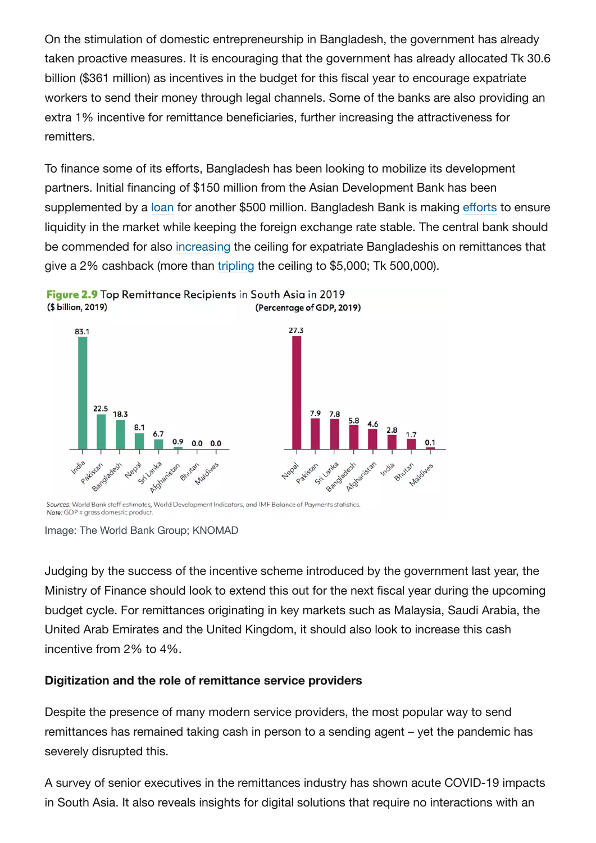On the stimulation of domestic entrepreneurship in Bangladesh, the government has already taken proactive measures. It is encouraging that the government has already allocated Tk 30.6 billion (\$361 million) as incentives in the budget for this fiscal year to encourage expatriate workers to send their money through legal channels. Some of the banks are also providing an extra 1% incentive for remittance beneficiaries, further increasing the attractiveness for remitters.

To finance some of its efforts, Bangladesh has been looking to mobilize its development partners. Initial financing of \$150 million from the Asian Development Bank has been supplemented by a [loan](https://www.adb.org/news/adb-approves-500-million-bangladeshs-covid-19-response) for another \$500 million. Bangladesh Bank is making [efforts](https://www.imf.org/en/Topics/imf-and-covid19/Policy-Responses-to-COVID-19) to ensure liquidity in the market while keeping the foreign exchange rate stable. The central bank should be commended for also [increasing](https://www.newagebd.net/article/103446/bangladesh-bank-extends-forex-support-for-bangladeshis-stranded-abroad) the ceiling for expatriate Bangladeshis on remittances that give a 2% cashback (more than [tripling](https://thefinancialexpress.com.bd/economy/bangladesh/bb-relaxes-conditions-for-remittance-incentives-1589369241) the ceiling to \$5,000; Tk 500,000).





Sources: World Bank staff estimates, World Development Indicators, and IMF Balance of Payments statistics. Note: GDP = gross domestic product.

Image: The World Bank Group; KNOMAD

Judging by the success of the incentive scheme introduced by the government last year, the Ministry of Finance should look to extend this out for the next fiscal year during the upcoming budget cycle. For remittances originating in key markets such as Malaysia, Saudi Arabia, the United Arab Emirates and the United Kingdom, it should also look to increase this cash incentive from 2% to 4%.

## **Digitization and the role of remittance service providers**

Despite the presence of many modern service providers, the most popular way to send remittances has remained taking cash in person to a sending agent – yet the pandemic has severely disrupted this.

A survey of senior executives in the remittances industry has shown acute COVID-19 impacts in South Asia. It also reveals insights for digital solutions that require no interactions with an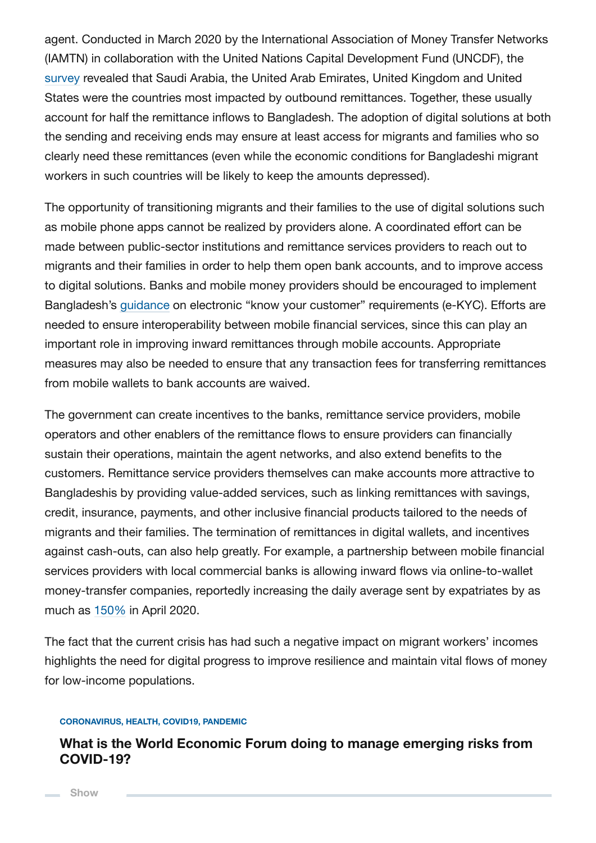agent. Conducted in March 2020 by the International Association of Money Transfer Networks (IAMTN) in collaboration with the United Nations Capital Development Fund (UNCDF), the [survey](https://www.uncdf.org/article/5606/covid-19-changing-the-landscape-for-migrants-and-remittances) revealed that Saudi Arabia, the United Arab Emirates, United Kingdom and United States were the countries most impacted by outbound remittances. Together, these usually account for half the remittance inflows to Bangladesh. The adoption of digital solutions at both the sending and receiving ends may ensure at least access for migrants and families who so clearly need these remittances (even while the economic conditions for Bangladeshi migrant workers in such countries will be likely to keep the amounts depressed).

The opportunity of transitioning migrants and their families to the use of digital solutions such as mobile phone apps cannot be realized by providers alone. A coordinated effort can be made between public-sector institutions and remittance services providers to reach out to migrants and their families in order to help them open bank accounts, and to improve access to digital solutions. Banks and mobile money providers should be encouraged to implement Bangladesh's [guidance](https://thepaypers.com/digital-identity-security-online-fraud/bangladesh-introduces-e-kyc-guidelines-to-financial-institutions--1240202) on electronic "know your customer" requirements (e-KYC). Efforts are needed to ensure interoperability between mobile financial services, since this can play an important role in improving inward remittances through mobile accounts. Appropriate measures may also be needed to ensure that any transaction fees for transferring remittances from mobile wallets to bank accounts are waived.

The government can create incentives to the banks, remittance service providers, mobile operators and other enablers of the remittance flows to ensure providers can financially sustain their operations, maintain the agent networks, and also extend benefits to the customers. Remittance service providers themselves can make accounts more attractive to Bangladeshis by providing value-added services, such as linking remittances with savings, credit, insurance, payments, and other inclusive financial products tailored to the needs of migrants and their families. The termination of remittances in digital wallets, and incentives against cash-outs, can also help greatly. For example, a partnership between mobile financial services providers with local commercial banks is allowing inward flows via online-to-wallet money-transfer companies, reportedly increasing the daily average sent by expatriates by as much as [150%](https://thefinancialexpress.com.bd/trade/expatriates-opt-for-bkash-to-send-remittance-safely-amid-covid-19-crisis-1587484428) in April 2020.

The fact that the current crisis has had such a negative impact on migrant workers' incomes highlights the need for digital progress to improve resilience and maintain vital flows of money for low-income populations.

#### **CORONAVIRUS, HEALTH, COVID19, PANDEMIC**

## **What is the World Economic Forum doing to manage emerging risks from COVID-19?**

**Show**